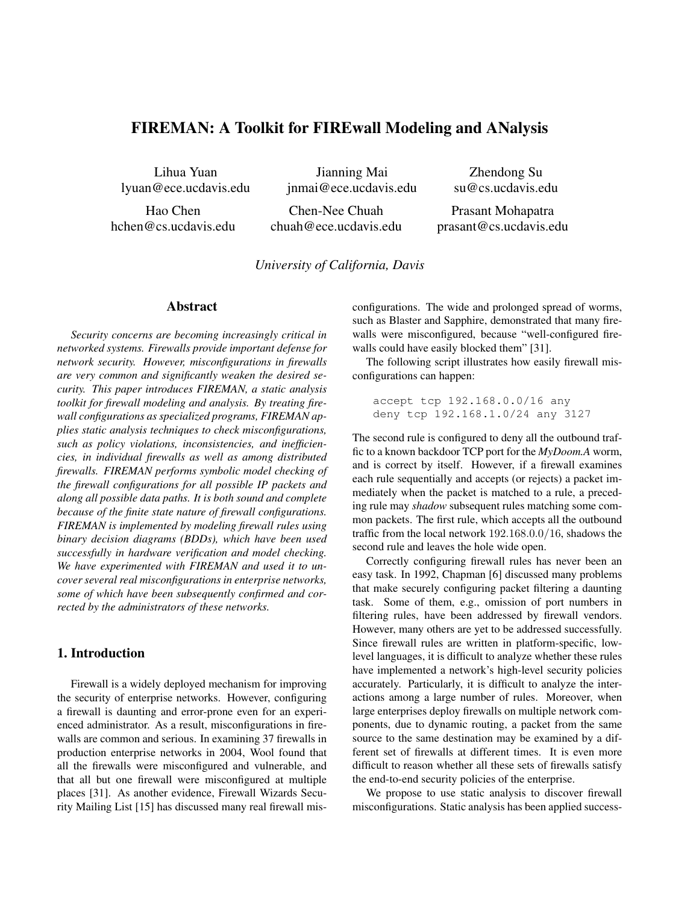# FIREMAN: A Toolkit for FIREwall Modeling and ANalysis

Lihua Yuan lyuan@ece.ucdavis.edu

Jianning Mai jnmai@ece.ucdavis.edu

Zhendong Su su@cs.ucdavis.edu

Hao Chen hchen@cs.ucdavis.edu

Chen-Nee Chuah chuah@ece.ucdavis.edu

Prasant Mohapatra prasant@cs.ucdavis.edu

*University of California, Davis*

# Abstract

*Security concerns are becoming increasingly critical in networked systems. Firewalls provide important defense for network security. However, misconfigurations in firewalls are very common and significantly weaken the desired security. This paper introduces FIREMAN, a static analysis toolkit for firewall modeling and analysis. By treating firewall configurations as specialized programs, FIREMAN applies static analysis techniques to check misconfigurations, such as policy violations, inconsistencies, and inefficiencies, in individual firewalls as well as among distributed firewalls. FIREMAN performs symbolic model checking of the firewall configurations for all possible IP packets and along all possible data paths. It is both sound and complete because of the finite state nature of firewall configurations. FIREMAN is implemented by modeling firewall rules using binary decision diagrams (BDDs), which have been used successfully in hardware verification and model checking. We have experimented with FIREMAN and used it to uncover several real misconfigurations in enterprise networks, some of which have been subsequently confirmed and corrected by the administrators of these networks.*

# 1. Introduction

Firewall is a widely deployed mechanism for improving the security of enterprise networks. However, configuring a firewall is daunting and error-prone even for an experienced administrator. As a result, misconfigurations in firewalls are common and serious. In examining 37 firewalls in production enterprise networks in 2004, Wool found that all the firewalls were misconfigured and vulnerable, and that all but one firewall were misconfigured at multiple places [31]. As another evidence, Firewall Wizards Security Mailing List [15] has discussed many real firewall misconfigurations. The wide and prolonged spread of worms, such as Blaster and Sapphire, demonstrated that many firewalls were misconfigured, because "well-configured firewalls could have easily blocked them" [31].

The following script illustrates how easily firewall misconfigurations can happen:

accept tcp 192.168.0.0/16 any deny tcp 192.168.1.0/24 any 3127

The second rule is configured to deny all the outbound traffic to a known backdoor TCP port for the *MyDoom.A* worm, and is correct by itself. However, if a firewall examines each rule sequentially and accepts (or rejects) a packet immediately when the packet is matched to a rule, a preceding rule may *shadow* subsequent rules matching some common packets. The first rule, which accepts all the outbound traffic from the local network 192.168.0.0/16, shadows the second rule and leaves the hole wide open.

Correctly configuring firewall rules has never been an easy task. In 1992, Chapman [6] discussed many problems that make securely configuring packet filtering a daunting task. Some of them, e.g., omission of port numbers in filtering rules, have been addressed by firewall vendors. However, many others are yet to be addressed successfully. Since firewall rules are written in platform-specific, lowlevel languages, it is difficult to analyze whether these rules have implemented a network's high-level security policies accurately. Particularly, it is difficult to analyze the interactions among a large number of rules. Moreover, when large enterprises deploy firewalls on multiple network components, due to dynamic routing, a packet from the same source to the same destination may be examined by a different set of firewalls at different times. It is even more difficult to reason whether all these sets of firewalls satisfy the end-to-end security policies of the enterprise.

We propose to use static analysis to discover firewall misconfigurations. Static analysis has been applied success-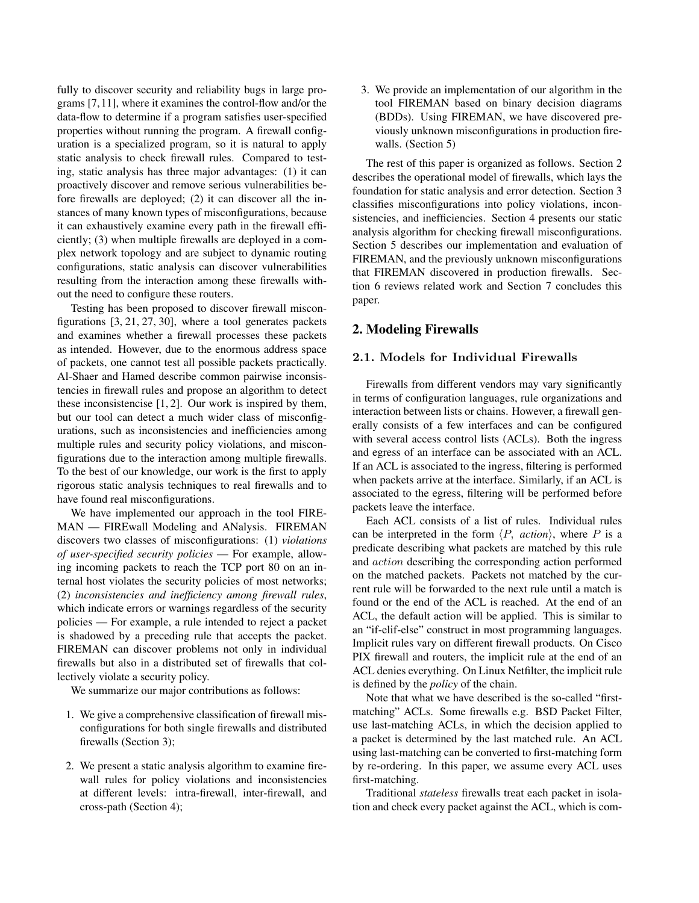fully to discover security and reliability bugs in large programs [7,11], where it examines the control-flow and/or the data-flow to determine if a program satisfies user-specified properties without running the program. A firewall configuration is a specialized program, so it is natural to apply static analysis to check firewall rules. Compared to testing, static analysis has three major advantages: (1) it can proactively discover and remove serious vulnerabilities before firewalls are deployed; (2) it can discover all the instances of many known types of misconfigurations, because it can exhaustively examine every path in the firewall efficiently; (3) when multiple firewalls are deployed in a complex network topology and are subject to dynamic routing configurations, static analysis can discover vulnerabilities resulting from the interaction among these firewalls without the need to configure these routers.

Testing has been proposed to discover firewall misconfigurations [3, 21, 27, 30], where a tool generates packets and examines whether a firewall processes these packets as intended. However, due to the enormous address space of packets, one cannot test all possible packets practically. Al-Shaer and Hamed describe common pairwise inconsistencies in firewall rules and propose an algorithm to detect these inconsistencise [1, 2]. Our work is inspired by them, but our tool can detect a much wider class of misconfigurations, such as inconsistencies and inefficiencies among multiple rules and security policy violations, and misconfigurations due to the interaction among multiple firewalls. To the best of our knowledge, our work is the first to apply rigorous static analysis techniques to real firewalls and to have found real misconfigurations.

We have implemented our approach in the tool FIRE-MAN — FIREwall Modeling and ANalysis. FIREMAN discovers two classes of misconfigurations: (1) *violations of user-specified security policies* — For example, allowing incoming packets to reach the TCP port 80 on an internal host violates the security policies of most networks; (2) *inconsistencies and inefficiency among firewall rules*, which indicate errors or warnings regardless of the security policies — For example, a rule intended to reject a packet is shadowed by a preceding rule that accepts the packet. FIREMAN can discover problems not only in individual firewalls but also in a distributed set of firewalls that collectively violate a security policy.

We summarize our major contributions as follows:

- 1. We give a comprehensive classification of firewall misconfigurations for both single firewalls and distributed firewalls (Section 3);
- 2. We present a static analysis algorithm to examine firewall rules for policy violations and inconsistencies at different levels: intra-firewall, inter-firewall, and cross-path (Section 4);

3. We provide an implementation of our algorithm in the tool FIREMAN based on binary decision diagrams (BDDs). Using FIREMAN, we have discovered previously unknown misconfigurations in production firewalls. (Section 5)

The rest of this paper is organized as follows. Section 2 describes the operational model of firewalls, which lays the foundation for static analysis and error detection. Section 3 classifies misconfigurations into policy violations, inconsistencies, and inefficiencies. Section 4 presents our static analysis algorithm for checking firewall misconfigurations. Section 5 describes our implementation and evaluation of FIREMAN, and the previously unknown misconfigurations that FIREMAN discovered in production firewalls. Section 6 reviews related work and Section 7 concludes this paper.

# 2. Modeling Firewalls

# 2.1. Models for Individual Firewalls

Firewalls from different vendors may vary significantly in terms of configuration languages, rule organizations and interaction between lists or chains. However, a firewall generally consists of a few interfaces and can be configured with several access control lists (ACLs). Both the ingress and egress of an interface can be associated with an ACL. If an ACL is associated to the ingress, filtering is performed when packets arrive at the interface. Similarly, if an ACL is associated to the egress, filtering will be performed before packets leave the interface.

Each ACL consists of a list of rules. Individual rules can be interpreted in the form  $\langle P, \text{ action} \rangle$ , where P is a predicate describing what packets are matched by this rule and action describing the corresponding action performed on the matched packets. Packets not matched by the current rule will be forwarded to the next rule until a match is found or the end of the ACL is reached. At the end of an ACL, the default action will be applied. This is similar to an "if-elif-else" construct in most programming languages. Implicit rules vary on different firewall products. On Cisco PIX firewall and routers, the implicit rule at the end of an ACL denies everything. On Linux Netfilter, the implicit rule is defined by the *policy* of the chain.

Note that what we have described is the so-called "firstmatching" ACLs. Some firewalls e.g. BSD Packet Filter, use last-matching ACLs, in which the decision applied to a packet is determined by the last matched rule. An ACL using last-matching can be converted to first-matching form by re-ordering. In this paper, we assume every ACL uses first-matching.

Traditional *stateless* firewalls treat each packet in isolation and check every packet against the ACL, which is com-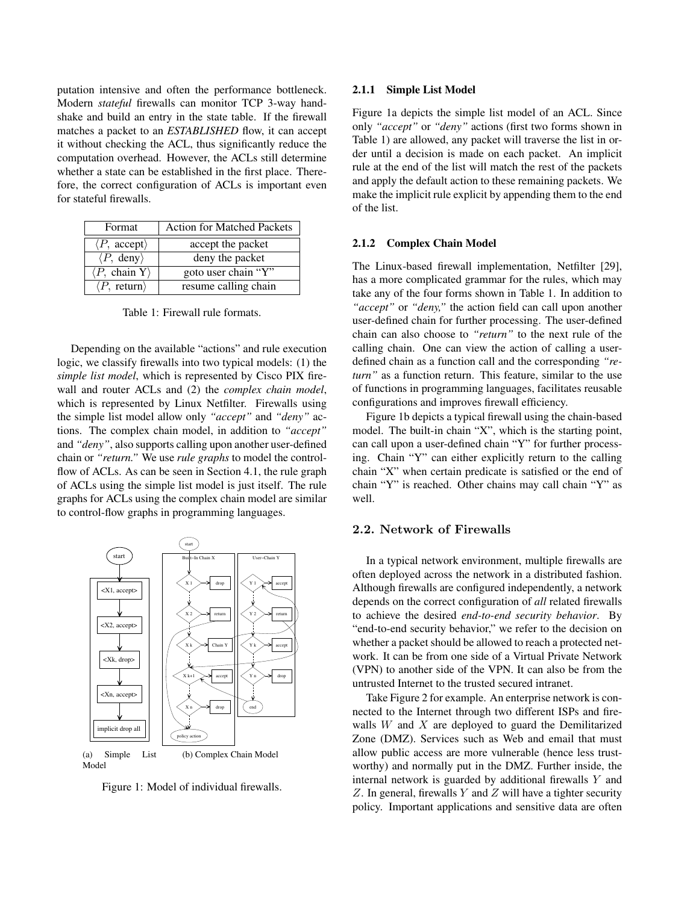putation intensive and often the performance bottleneck. Modern *stateful* firewalls can monitor TCP 3-way handshake and build an entry in the state table. If the firewall matches a packet to an *ESTABLISHED* flow, it can accept it without checking the ACL, thus significantly reduce the computation overhead. However, the ACLs still determine whether a state can be established in the first place. Therefore, the correct configuration of ACLs is important even for stateful firewalls.

| Format                                | <b>Action for Matched Packets</b> |
|---------------------------------------|-----------------------------------|
| $\langle P, \text{ accept}\rangle$    | accept the packet                 |
| $\langle P, \text{ deny} \rangle$     | deny the packet                   |
| $\langle P, \text{ chain } Y \rangle$ | goto user chain "Y"               |
| $\langle P$ , return $\rangle$        | resume calling chain              |

Table 1: Firewall rule formats.

Depending on the available "actions" and rule execution logic, we classify firewalls into two typical models: (1) the *simple list model*, which is represented by Cisco PIX firewall and router ACLs and (2) the *complex chain model*, which is represented by Linux Netfilter. Firewalls using the simple list model allow only *"accept"* and *"deny"* actions. The complex chain model, in addition to *"accept"* and *"deny"*, also supports calling upon another user-defined chain or *"return."* We use *rule graphs* to model the controlflow of ACLs. As can be seen in Section 4.1, the rule graph of ACLs using the simple list model is just itself. The rule graphs for ACLs using the complex chain model are similar to control-flow graphs in programming languages.



Figure 1: Model of individual firewalls.

#### 2.1.1 Simple List Model

Figure 1a depicts the simple list model of an ACL. Since only *"accept"* or *"deny"* actions (first two forms shown in Table 1) are allowed, any packet will traverse the list in order until a decision is made on each packet. An implicit rule at the end of the list will match the rest of the packets and apply the default action to these remaining packets. We make the implicit rule explicit by appending them to the end of the list.

### 2.1.2 Complex Chain Model

The Linux-based firewall implementation, Netfilter [29], has a more complicated grammar for the rules, which may take any of the four forms shown in Table 1. In addition to *"accept"* or *"deny,"* the action field can call upon another user-defined chain for further processing. The user-defined chain can also choose to *"return"* to the next rule of the calling chain. One can view the action of calling a userdefined chain as a function call and the corresponding *"return"* as a function return. This feature, similar to the use of functions in programming languages, facilitates reusable configurations and improves firewall efficiency.

Figure 1b depicts a typical firewall using the chain-based model. The built-in chain "X", which is the starting point, can call upon a user-defined chain "Y" for further processing. Chain "Y" can either explicitly return to the calling chain "X" when certain predicate is satisfied or the end of chain "Y" is reached. Other chains may call chain "Y" as well.

### 2.2. Network of Firewalls

In a typical network environment, multiple firewalls are often deployed across the network in a distributed fashion. Although firewalls are configured independently, a network depends on the correct configuration of *all* related firewalls to achieve the desired *end-to-end security behavior*. By "end-to-end security behavior," we refer to the decision on whether a packet should be allowed to reach a protected network. It can be from one side of a Virtual Private Network (VPN) to another side of the VPN. It can also be from the untrusted Internet to the trusted secured intranet.

Take Figure 2 for example. An enterprise network is connected to the Internet through two different ISPs and firewalls  $W$  and  $X$  are deployed to guard the Demilitarized Zone (DMZ). Services such as Web and email that must allow public access are more vulnerable (hence less trustworthy) and normally put in the DMZ. Further inside, the internal network is guarded by additional firewalls Y and Z. In general, firewalls Y and Z will have a tighter security policy. Important applications and sensitive data are often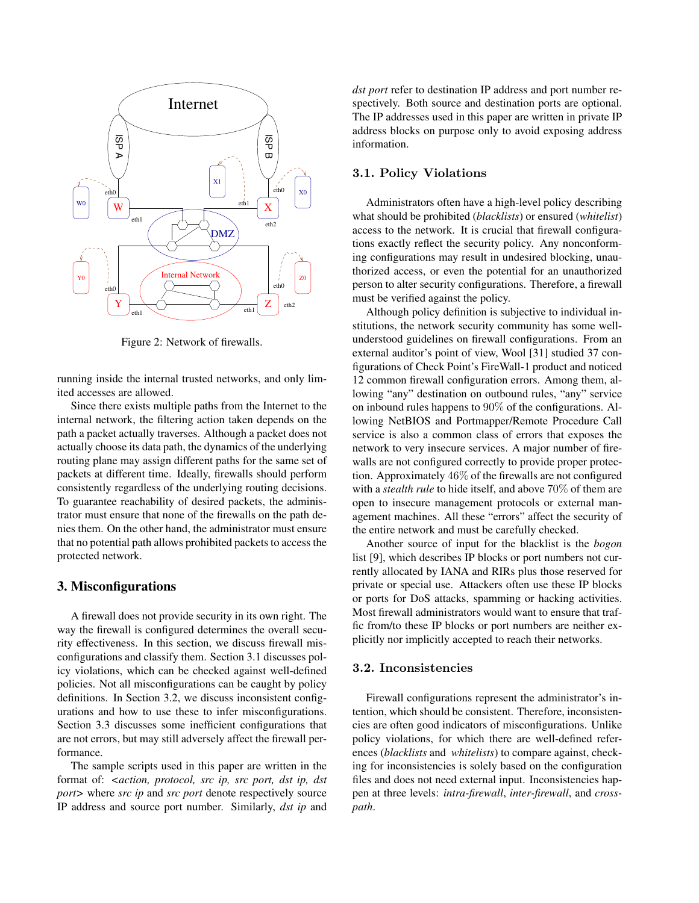

Figure 2: Network of firewalls.

running inside the internal trusted networks, and only limited accesses are allowed.

Since there exists multiple paths from the Internet to the internal network, the filtering action taken depends on the path a packet actually traverses. Although a packet does not actually choose its data path, the dynamics of the underlying routing plane may assign different paths for the same set of packets at different time. Ideally, firewalls should perform consistently regardless of the underlying routing decisions. To guarantee reachability of desired packets, the administrator must ensure that none of the firewalls on the path denies them. On the other hand, the administrator must ensure that no potential path allows prohibited packets to access the protected network.

# 3. Misconfigurations

A firewall does not provide security in its own right. The way the firewall is configured determines the overall security effectiveness. In this section, we discuss firewall misconfigurations and classify them. Section 3.1 discusses policy violations, which can be checked against well-defined policies. Not all misconfigurations can be caught by policy definitions. In Section 3.2, we discuss inconsistent configurations and how to use these to infer misconfigurations. Section 3.3 discusses some inefficient configurations that are not errors, but may still adversely affect the firewall performance.

The sample scripts used in this paper are written in the format of: *<action, protocol, src ip, src port, dst ip, dst port>* where *src ip* and *src port* denote respectively source IP address and source port number. Similarly, *dst ip* and *dst port* refer to destination IP address and port number respectively. Both source and destination ports are optional. The IP addresses used in this paper are written in private IP address blocks on purpose only to avoid exposing address information.

# 3.1. Policy Violations

Administrators often have a high-level policy describing what should be prohibited (*blacklists*) or ensured (*whitelist*) access to the network. It is crucial that firewall configurations exactly reflect the security policy. Any nonconforming configurations may result in undesired blocking, unauthorized access, or even the potential for an unauthorized person to alter security configurations. Therefore, a firewall must be verified against the policy.

Although policy definition is subjective to individual institutions, the network security community has some wellunderstood guidelines on firewall configurations. From an external auditor's point of view, Wool [31] studied 37 configurations of Check Point's FireWall-1 product and noticed 12 common firewall configuration errors. Among them, allowing "any" destination on outbound rules, "any" service on inbound rules happens to 90% of the configurations. Allowing NetBIOS and Portmapper/Remote Procedure Call service is also a common class of errors that exposes the network to very insecure services. A major number of firewalls are not configured correctly to provide proper protection. Approximately 46% of the firewalls are not configured with a *stealth rule* to hide itself, and above 70% of them are open to insecure management protocols or external management machines. All these "errors" affect the security of the entire network and must be carefully checked.

Another source of input for the blacklist is the *bogon* list [9], which describes IP blocks or port numbers not currently allocated by IANA and RIRs plus those reserved for private or special use. Attackers often use these IP blocks or ports for DoS attacks, spamming or hacking activities. Most firewall administrators would want to ensure that traffic from/to these IP blocks or port numbers are neither explicitly nor implicitly accepted to reach their networks.

### 3.2. Inconsistencies

Firewall configurations represent the administrator's intention, which should be consistent. Therefore, inconsistencies are often good indicators of misconfigurations. Unlike policy violations, for which there are well-defined references (*blacklists* and *whitelists*) to compare against, checking for inconsistencies is solely based on the configuration files and does not need external input. Inconsistencies happen at three levels: *intra-firewall*, *inter-firewall*, and *crosspath*.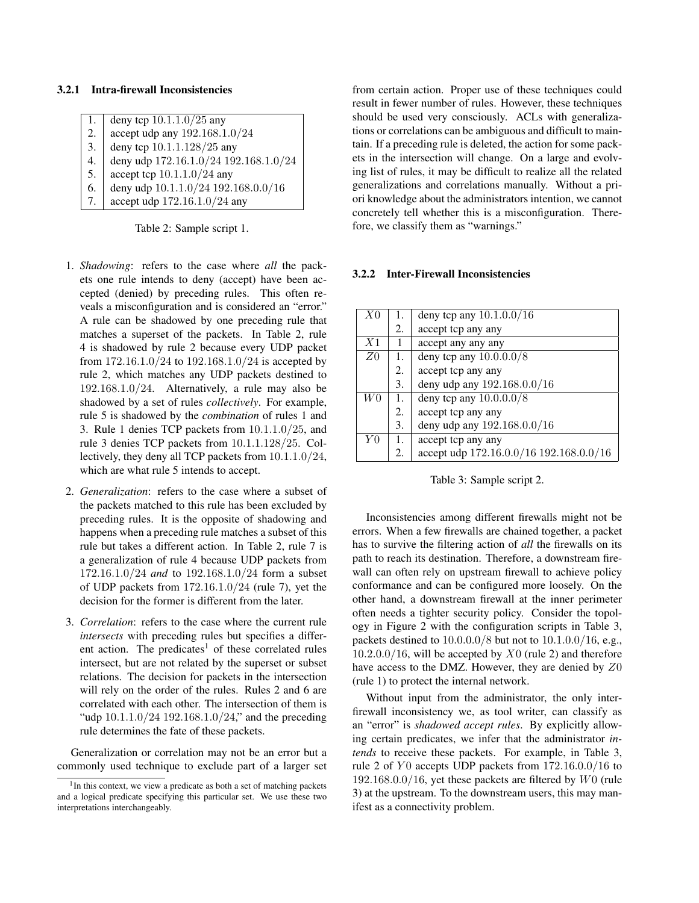### 3.2.1 Intra-firewall Inconsistencies

| 1. | deny tcp $10.1.1.0/25$ any            |
|----|---------------------------------------|
| 2. | accept udp any 192.168.1.0/24         |
| 3. | deny tcp 10.1.1.128/25 any            |
| 4. | deny udp 172.16.1.0/24 192.168.1.0/24 |
| 5. | accept tcp $10.1.1.0/24$ any          |
| 6. | deny udp 10.1.1.0/24 192.168.0.0/16   |
| 7. | accept udp $172.16.1.0/24$ any        |

Table 2: Sample script 1.

- 1. *Shadowing*: refers to the case where *all* the packets one rule intends to deny (accept) have been accepted (denied) by preceding rules. This often reveals a misconfiguration and is considered an "error." A rule can be shadowed by one preceding rule that matches a superset of the packets. In Table 2, rule 4 is shadowed by rule 2 because every UDP packet from 172.16.1.0/24 to 192.168.1.0/24 is accepted by rule 2, which matches any UDP packets destined to 192.168.1.0/24. Alternatively, a rule may also be shadowed by a set of rules *collectively*. For example, rule 5 is shadowed by the *combination* of rules 1 and 3. Rule 1 denies TCP packets from 10.1.1.0/25, and rule 3 denies TCP packets from 10.1.1.128/25. Collectively, they deny all TCP packets from 10.1.1.0/24, which are what rule 5 intends to accept.
- 2. *Generalization*: refers to the case where a subset of the packets matched to this rule has been excluded by preceding rules. It is the opposite of shadowing and happens when a preceding rule matches a subset of this rule but takes a different action. In Table 2, rule 7 is a generalization of rule 4 because UDP packets from 172.16.1.0/24 *and* to 192.168.1.0/24 form a subset of UDP packets from  $172.16.1.0/24$  (rule 7), yet the decision for the former is different from the later.
- 3. *Correlation*: refers to the case where the current rule *intersects* with preceding rules but specifies a different action. The predicates<sup>1</sup> of these correlated rules intersect, but are not related by the superset or subset relations. The decision for packets in the intersection will rely on the order of the rules. Rules 2 and 6 are correlated with each other. The intersection of them is "udp 10.1.1.0/24 192.168.1.0/24," and the preceding rule determines the fate of these packets.

Generalization or correlation may not be an error but a commonly used technique to exclude part of a larger set from certain action. Proper use of these techniques could result in fewer number of rules. However, these techniques should be used very consciously. ACLs with generalizations or correlations can be ambiguous and difficult to maintain. If a preceding rule is deleted, the action for some packets in the intersection will change. On a large and evolving list of rules, it may be difficult to realize all the related generalizations and correlations manually. Without a priori knowledge about the administrators intention, we cannot concretely tell whether this is a misconfiguration. Therefore, we classify them as "warnings."

#### 3.2.2 Inter-Firewall Inconsistencies

| X <sub>0</sub> | 1. | deny tcp any $10.1.0.0/16$              |
|----------------|----|-----------------------------------------|
|                | 2. | accept tcp any any                      |
| X1             | 1  | accept any any any                      |
| Z <sub>0</sub> | 1. | deny tcp any $10.0.0.0/8$               |
|                | 2. | accept tcp any any                      |
|                | 3. | deny udp any 192.168.0.0/16             |
| W0             | 1. | deny tcp any $10.0.\overline{0.0/8}$    |
|                | 2. | accept tcp any any                      |
|                | 3. | deny udp any 192.168.0.0/16             |
| Y <sub>0</sub> | 1. | accept tcp any any                      |
|                | 2. | accept udp 172.16.0.0/16 192.168.0.0/16 |

Table 3: Sample script 2.

Inconsistencies among different firewalls might not be errors. When a few firewalls are chained together, a packet has to survive the filtering action of *all* the firewalls on its path to reach its destination. Therefore, a downstream firewall can often rely on upstream firewall to achieve policy conformance and can be configured more loosely. On the other hand, a downstream firewall at the inner perimeter often needs a tighter security policy. Consider the topology in Figure 2 with the configuration scripts in Table 3, packets destined to 10.0.0.0/8 but not to 10.1.0.0/16, e.g.,  $10.2.0.0/16$ , will be accepted by  $X0$  (rule 2) and therefore have access to the DMZ. However, they are denied by Z0 (rule 1) to protect the internal network.

Without input from the administrator, the only interfirewall inconsistency we, as tool writer, can classify as an "error" is *shadowed accept rules*. By explicitly allowing certain predicates, we infer that the administrator *intends* to receive these packets. For example, in Table 3, rule 2 of  $Y0$  accepts UDP packets from  $172.16.0.0/16$  to  $192.168.0.0/16$ , yet these packets are filtered by  $W0$  (rule 3) at the upstream. To the downstream users, this may manifest as a connectivity problem.

<sup>&</sup>lt;sup>1</sup>In this context, we view a predicate as both a set of matching packets and a logical predicate specifying this particular set. We use these two interpretations interchangeably.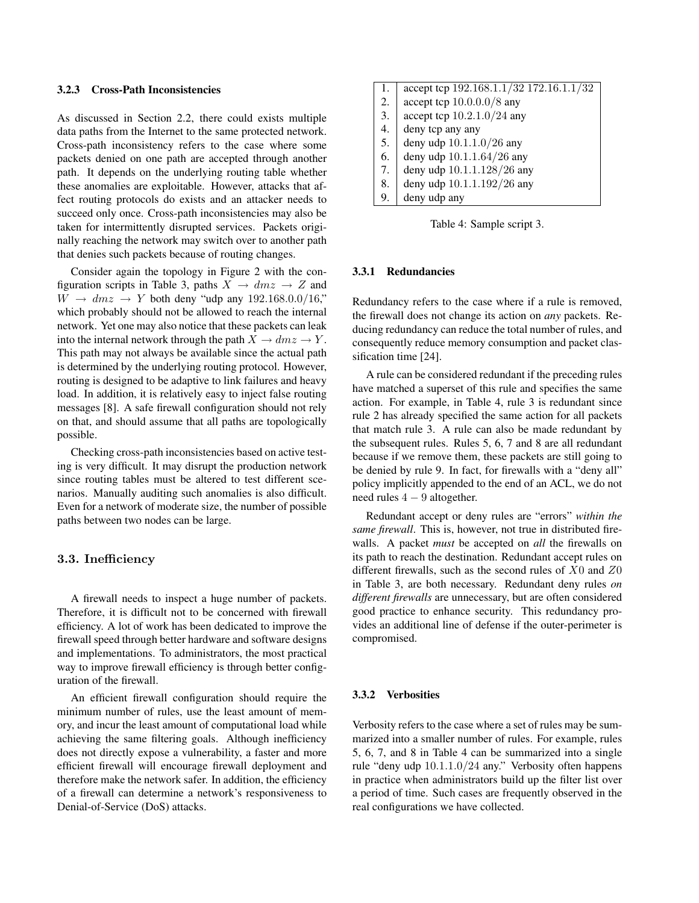#### 3.2.3 Cross-Path Inconsistencies

As discussed in Section 2.2, there could exists multiple data paths from the Internet to the same protected network. Cross-path inconsistency refers to the case where some packets denied on one path are accepted through another path. It depends on the underlying routing table whether these anomalies are exploitable. However, attacks that affect routing protocols do exists and an attacker needs to succeed only once. Cross-path inconsistencies may also be taken for intermittently disrupted services. Packets originally reaching the network may switch over to another path that denies such packets because of routing changes.

Consider again the topology in Figure 2 with the configuration scripts in Table 3, paths  $X \rightarrow dmz \rightarrow Z$  and  $W \rightarrow dmz \rightarrow Y$  both deny "udp any 192.168.0.0/16," which probably should not be allowed to reach the internal network. Yet one may also notice that these packets can leak into the internal network through the path  $X \to dmz \to Y$ . This path may not always be available since the actual path is determined by the underlying routing protocol. However, routing is designed to be adaptive to link failures and heavy load. In addition, it is relatively easy to inject false routing messages [8]. A safe firewall configuration should not rely on that, and should assume that all paths are topologically possible.

Checking cross-path inconsistencies based on active testing is very difficult. It may disrupt the production network since routing tables must be altered to test different scenarios. Manually auditing such anomalies is also difficult. Even for a network of moderate size, the number of possible paths between two nodes can be large.

### 3.3. Inefficiency

A firewall needs to inspect a huge number of packets. Therefore, it is difficult not to be concerned with firewall efficiency. A lot of work has been dedicated to improve the firewall speed through better hardware and software designs and implementations. To administrators, the most practical way to improve firewall efficiency is through better configuration of the firewall.

An efficient firewall configuration should require the minimum number of rules, use the least amount of memory, and incur the least amount of computational load while achieving the same filtering goals. Although inefficiency does not directly expose a vulnerability, a faster and more efficient firewall will encourage firewall deployment and therefore make the network safer. In addition, the efficiency of a firewall can determine a network's responsiveness to Denial-of-Service (DoS) attacks.

| 1. | accept tcp $192.168.1.1/32$ 172.16.1.1/32 |
|----|-------------------------------------------|
| 2. | accept tcp $10.0.0.0/8$ any               |
| 3. | accept tcp $10.2.1.0/24$ any              |
| 4. | deny tcp any any                          |
| 5. | deny udp 10.1.1.0/26 any                  |
| 6. | deny udp 10.1.1.64/26 any                 |
| 7. | deny udp 10.1.1.128/26 any                |
| 8. | deny udp 10.1.1.192/26 any                |
| 9. | deny udp any                              |

Table 4: Sample script 3.

### 3.3.1 Redundancies

Redundancy refers to the case where if a rule is removed, the firewall does not change its action on *any* packets. Reducing redundancy can reduce the total number of rules, and consequently reduce memory consumption and packet classification time [24].

A rule can be considered redundant if the preceding rules have matched a superset of this rule and specifies the same action. For example, in Table 4, rule 3 is redundant since rule 2 has already specified the same action for all packets that match rule 3. A rule can also be made redundant by the subsequent rules. Rules 5, 6, 7 and 8 are all redundant because if we remove them, these packets are still going to be denied by rule 9. In fact, for firewalls with a "deny all" policy implicitly appended to the end of an ACL, we do not need rules 4 − 9 altogether.

Redundant accept or deny rules are "errors" *within the same firewall*. This is, however, not true in distributed firewalls. A packet *must* be accepted on *all* the firewalls on its path to reach the destination. Redundant accept rules on different firewalls, such as the second rules of  $X0$  and  $Z0$ in Table 3, are both necessary. Redundant deny rules *on different firewalls* are unnecessary, but are often considered good practice to enhance security. This redundancy provides an additional line of defense if the outer-perimeter is compromised.

### 3.3.2 Verbosities

Verbosity refers to the case where a set of rules may be summarized into a smaller number of rules. For example, rules 5, 6, 7, and 8 in Table 4 can be summarized into a single rule "deny udp 10.1.1.0/24 any." Verbosity often happens in practice when administrators build up the filter list over a period of time. Such cases are frequently observed in the real configurations we have collected.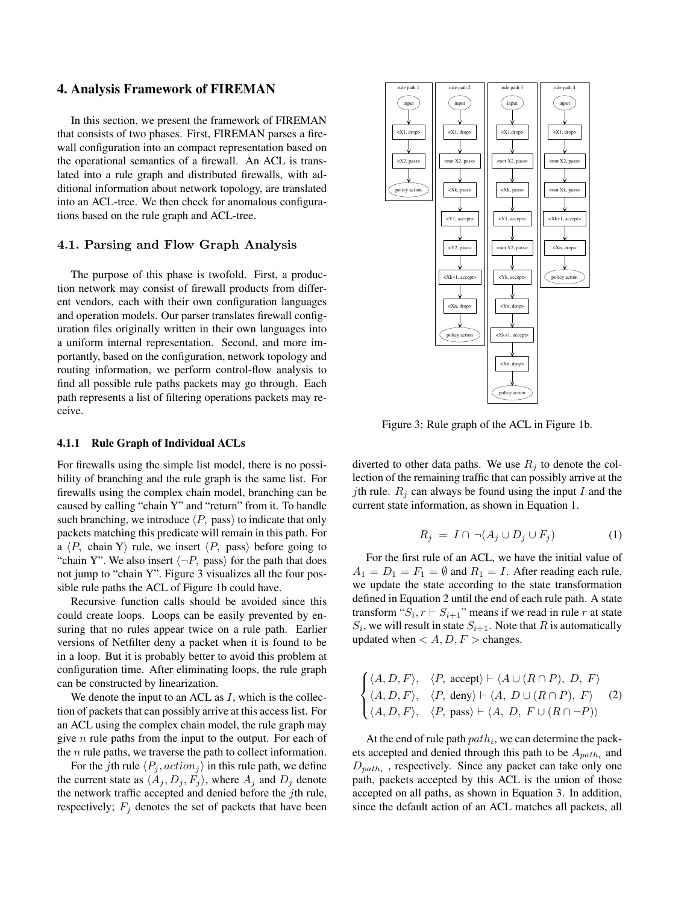# 4. Analysis Framework of FIREMAN

In this section, we present the framework of FIREMAN that consists of two phases. First, FIREMAN parses a firewall configuration into an compact representation based on the operational semantics of a firewall. An ACL is translated into a rule graph and distributed firewalls, with additional information about network topology, are translated into an ACL-tree. We then check for anomalous configurations based on the rule graph and ACL-tree.

### 4.1. Parsing and Flow Graph Analysis

The purpose of this phase is twofold. First, a production network may consist of firewall products from different vendors, each with their own configuration languages and operation models. Our parser translates firewall configuration files originally written in their own languages into a uniform internal representation. Second, and more importantly, based on the configuration, network topology and routing information, we perform control-flow analysis to find all possible rule paths packets may go through. Each path represents a list of filtering operations packets may receive.

### 4.1.1 Rule Graph of Individual ACLs

For firewalls using the simple list model, there is no possibility of branching and the rule graph is the same list. For firewalls using the complex chain model, branching can be caused by calling "chain Y" and "return" from it. To handle such branching, we introduce  $\langle P$ , pass $\rangle$  to indicate that only packets matching this predicate will remain in this path. For a  $\langle P$ , chain Y rule, we insert  $\langle P$ , pass) before going to "chain Y". We also insert  $\langle \neg P$ , pass) for the path that does not jump to "chain Y". Figure 3 visualizes all the four possible rule paths the ACL of Figure 1b could have.

Recursive function calls should be avoided since this could create loops. Loops can be easily prevented by ensuring that no rules appear twice on a rule path. Earlier versions of Netfilter deny a packet when it is found to be in a loop. But it is probably better to avoid this problem at configuration time. After eliminating loops, the rule graph can be constructed by linearization.

We denote the input to an ACL as  $I$ , which is the collection of packets that can possibly arrive at this access list. For an ACL using the complex chain model, the rule graph may give  $n$  rule paths from the input to the output. For each of the  $n$  rule paths, we traverse the path to collect information.

For the jth rule  $\langle P_i, action_j \rangle$  in this rule path, we define the current state as  $\langle A_j, D_j, F_j \rangle$ , where  $A_j$  and  $D_j$  denote the network traffic accepted and denied before the jth rule, respectively;  $F_j$  denotes the set of packets that have been



Figure 3: Rule graph of the ACL in Figure 1b.

diverted to other data paths. We use  $R_j$  to denote the collection of the remaining traffic that can possibly arrive at the jth rule.  $R_i$  can always be found using the input I and the current state information, as shown in Equation 1.

$$
R_j = I \cap \neg (A_j \cup D_j \cup F_j) \tag{1}
$$

For the first rule of an ACL, we have the initial value of  $A_1 = D_1 = F_1 = \emptyset$  and  $R_1 = I$ . After reading each rule, we update the state according to the state transformation defined in Equation 2 until the end of each rule path. A state transform " $S_i$ ,  $r \vdash S_{i+1}$ " means if we read in rule r at state  $S_i$ , we will result in state  $S_{i+1}$ . Note that R is automatically updated when  $< A, D, F >$  changes.

$$
\begin{cases} \langle A, D, F \rangle, & \langle P, \text{ accept} \rangle \vdash \langle A \cup (R \cap P), D, F \rangle \\ \langle A, D, F \rangle, & \langle P, \text{ deny} \rangle \vdash \langle A, D \cup (R \cap P), F \rangle \\ \langle A, D, F \rangle, & \langle P, \text{ pass} \rangle \vdash \langle A, D, F \cup (R \cap \neg P) \rangle \end{cases} \tag{2}
$$

At the end of rule path  $path_i$ , we can determine the packets accepted and denied through this path to be  $A_{path_i}$  and  $D_{path_i}$ , respectively. Since any packet can take only one path, packets accepted by this ACL is the union of those accepted on all paths, as shown in Equation 3. In addition, since the default action of an ACL matches all packets, all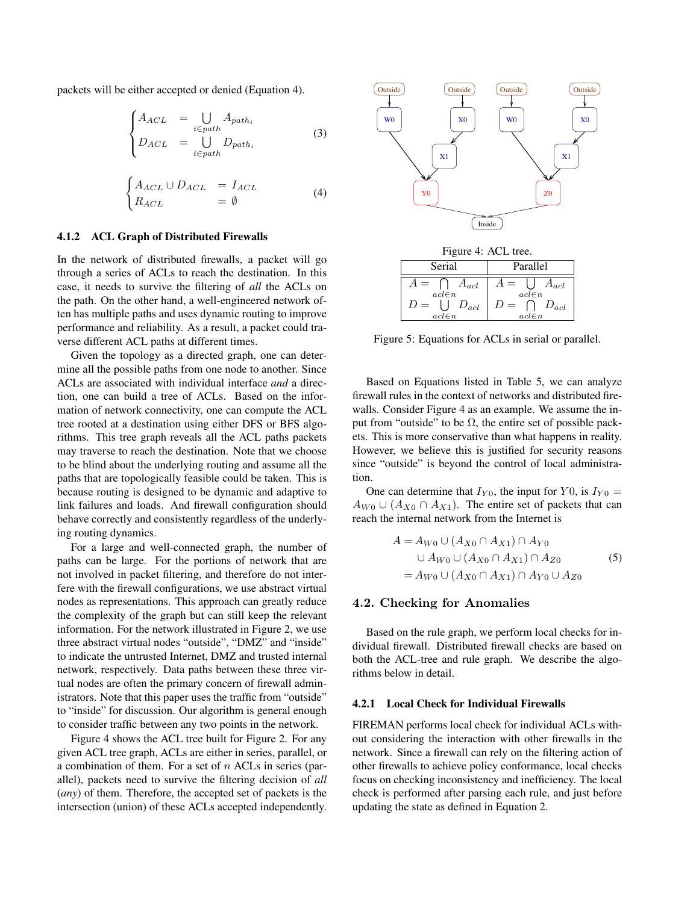packets will be either accepted or denied (Equation 4).

$$
\begin{cases}\nA_{ACL} &= \bigcup_{i \in path_i} A_{path_i} \\
D_{ACL} &= \bigcup_{i \in path_i} D_{path_i}\n\end{cases}
$$
\n(3)

$$
\begin{cases}\nA_{ACL} \cup D_{ACL} &= I_{ACL} \\
R_{ACL} &= \emptyset\n\end{cases}
$$
\n(4)

#### 4.1.2 ACL Graph of Distributed Firewalls

In the network of distributed firewalls, a packet will go through a series of ACLs to reach the destination. In this case, it needs to survive the filtering of *all* the ACLs on the path. On the other hand, a well-engineered network often has multiple paths and uses dynamic routing to improve performance and reliability. As a result, a packet could traverse different ACL paths at different times.

Given the topology as a directed graph, one can determine all the possible paths from one node to another. Since ACLs are associated with individual interface *and* a direction, one can build a tree of ACLs. Based on the information of network connectivity, one can compute the ACL tree rooted at a destination using either DFS or BFS algorithms. This tree graph reveals all the ACL paths packets may traverse to reach the destination. Note that we choose to be blind about the underlying routing and assume all the paths that are topologically feasible could be taken. This is because routing is designed to be dynamic and adaptive to link failures and loads. And firewall configuration should behave correctly and consistently regardless of the underlying routing dynamics.

For a large and well-connected graph, the number of paths can be large. For the portions of network that are not involved in packet filtering, and therefore do not interfere with the firewall configurations, we use abstract virtual nodes as representations. This approach can greatly reduce the complexity of the graph but can still keep the relevant information. For the network illustrated in Figure 2, we use three abstract virtual nodes "outside", "DMZ" and "inside" to indicate the untrusted Internet, DMZ and trusted internal network, respectively. Data paths between these three virtual nodes are often the primary concern of firewall administrators. Note that this paper uses the traffic from "outside" to "inside" for discussion. Our algorithm is general enough to consider traffic between any two points in the network.

Figure 4 shows the ACL tree built for Figure 2. For any given ACL tree graph, ACLs are either in series, parallel, or a combination of them. For a set of  $n$  ACLs in series (parallel), packets need to survive the filtering decision of *all* (*any*) of them. Therefore, the accepted set of packets is the intersection (union) of these ACLs accepted independently.



Figure 4: ACL tree.

| Serial                                             | Parallel                                                              |
|----------------------------------------------------|-----------------------------------------------------------------------|
| $A_{acl}$<br>$acl\in n$<br>$D_{acl}$<br>$acl\in n$ | $A_{acl}$<br>$4 =$<br>$acl\in n$<br>$D_{acl}$<br>$D =$<br>$acl \in n$ |

Figure 5: Equations for ACLs in serial or parallel.

Based on Equations listed in Table 5, we can analyze firewall rules in the context of networks and distributed firewalls. Consider Figure 4 as an example. We assume the input from "outside" to be  $\Omega$ , the entire set of possible packets. This is more conservative than what happens in reality. However, we believe this is justified for security reasons since "outside" is beyond the control of local administration.

One can determine that  $I_{Y0}$ , the input for Y0, is  $I_{Y0} =$  $A_{W0} \cup (A_{X0} \cap A_{X1})$ . The entire set of packets that can reach the internal network from the Internet is

$$
A = A_{W0} \cup (A_{X0} \cap A_{X1}) \cap A_{Y0}
$$
  

$$
\cup A_{W0} \cup (A_{X0} \cap A_{X1}) \cap A_{Z0}
$$
  

$$
= A_{W0} \cup (A_{X0} \cap A_{X1}) \cap A_{Y0} \cup A_{Z0}
$$
 (5)

### 4.2. Checking for Anomalies

Based on the rule graph, we perform local checks for individual firewall. Distributed firewall checks are based on both the ACL-tree and rule graph. We describe the algorithms below in detail.

### 4.2.1 Local Check for Individual Firewalls

FIREMAN performs local check for individual ACLs without considering the interaction with other firewalls in the network. Since a firewall can rely on the filtering action of other firewalls to achieve policy conformance, local checks focus on checking inconsistency and inefficiency. The local check is performed after parsing each rule, and just before updating the state as defined in Equation 2.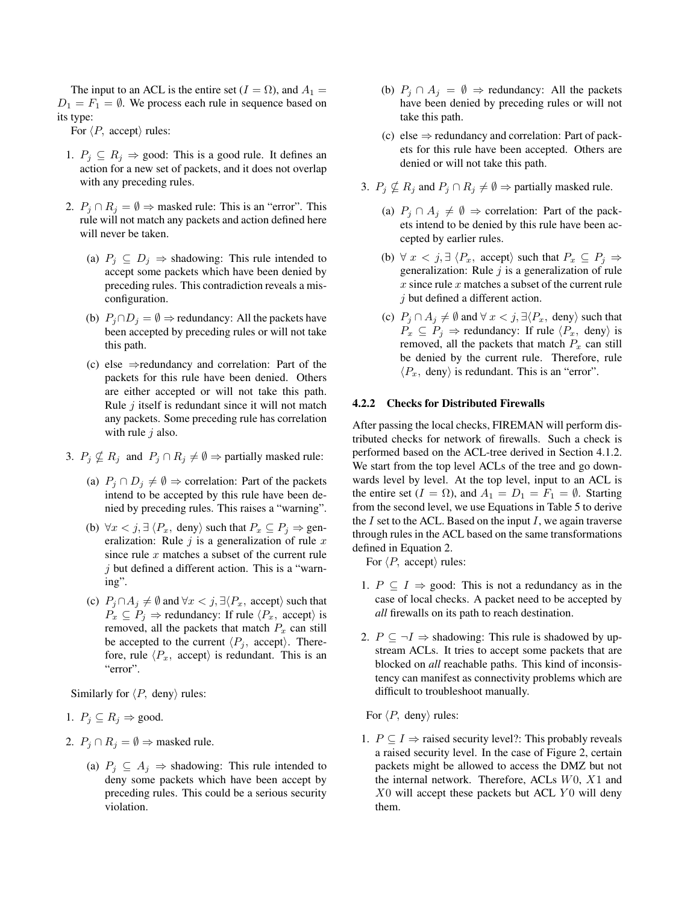The input to an ACL is the entire set ( $I = \Omega$ ), and  $A_1 =$  $D_1 = F_1 = \emptyset$ . We process each rule in sequence based on its type:

For  $\langle P$ , accept $\rangle$  rules:

- 1.  $P_j \subseteq R_j \Rightarrow$  good: This is a good rule. It defines an action for a new set of packets, and it does not overlap with any preceding rules.
- 2.  $P_j \cap R_j = \emptyset \Rightarrow$  masked rule: This is an "error". This rule will not match any packets and action defined here will never be taken.
	- (a)  $P_i \subseteq D_i \Rightarrow$  shadowing: This rule intended to accept some packets which have been denied by preceding rules. This contradiction reveals a misconfiguration.
	- (b)  $P_i \cap D_i = \emptyset \Rightarrow$  redundancy: All the packets have been accepted by preceding rules or will not take this path.
	- (c) else  $\Rightarrow$  redundancy and correlation: Part of the packets for this rule have been denied. Others are either accepted or will not take this path. Rule  $i$  itself is redundant since it will not match any packets. Some preceding rule has correlation with rule  $j$  also.
- 3.  $P_j \nsubseteq R_j$  and  $P_j \cap R_j \neq \emptyset \Rightarrow$  partially masked rule:
	- (a)  $P_j \cap D_j \neq \emptyset$  ⇒ correlation: Part of the packets intend to be accepted by this rule have been denied by preceding rules. This raises a "warning".
	- (b)  $\forall x \leq j, \exists \langle P_x, \text{ deny} \rangle \text{ such that } P_x \subseteq P_j \Rightarrow \text{gen-}$ eralization: Rule  $i$  is a generalization of rule x since rule  $x$  matches a subset of the current rule  $\dot{\gamma}$  but defined a different action. This is a "warning".
	- (c)  $P_j \cap A_j \neq \emptyset$  and  $\forall x < j$ ,  $\exists \langle P_x, \text{ accept} \rangle$  such that  $P_x \subseteq P_i$   $\Rightarrow$  redundancy: If rule  $\langle P_x, \text{ accept} \rangle$  is removed, all the packets that match  $P_x$  can still be accepted to the current  $\langle P_i, \text{ accept} \rangle$ . Therefore, rule  $\langle P_x, \text{ accept} \rangle$  is redundant. This is an "error".

Similarly for  $\langle P$ , deny $\rangle$  rules:

- 1.  $P_j \subseteq R_j \Rightarrow \text{good.}$
- 2.  $P_i \cap R_j = \emptyset \Rightarrow$  masked rule.
	- (a)  $P_i \subseteq A_i \Rightarrow$  shadowing: This rule intended to deny some packets which have been accept by preceding rules. This could be a serious security violation.
- (b)  $P_i \cap A_j = \emptyset \Rightarrow$  redundancy: All the packets have been denied by preceding rules or will not take this path.
- (c) else  $\Rightarrow$  redundancy and correlation: Part of packets for this rule have been accepted. Others are denied or will not take this path.
- 3.  $P_j \nsubseteq R_j$  and  $P_j \cap R_j \neq \emptyset \Rightarrow$  partially masked rule.
	- (a)  $P_j \cap A_j \neq \emptyset$  ⇒ correlation: Part of the packets intend to be denied by this rule have been accepted by earlier rules.
	- (b)  $\forall x \leq j, \exists \langle P_x, \text{ accept} \rangle \text{ such that } P_x \subseteq P_j \Rightarrow$ generalization: Rule  $j$  is a generalization of rule x since rule x matches a subset of the current rule j but defined a different action.
	- (c)  $P_j \cap A_j \neq \emptyset$  and  $\forall x < j$ ,  $\exists \langle P_x, \text{ deny} \rangle$  such that  $P_x \subseteq P_j \Rightarrow$  redundancy: If rule  $\langle P_x, \text{ deny} \rangle$  is removed, all the packets that match  $P_x$  can still be denied by the current rule. Therefore, rule  $\langle P_x, \text{ deny} \rangle$  is redundant. This is an "error".

### 4.2.2 Checks for Distributed Firewalls

After passing the local checks, FIREMAN will perform distributed checks for network of firewalls. Such a check is performed based on the ACL-tree derived in Section 4.1.2. We start from the top level ACLs of the tree and go downwards level by level. At the top level, input to an ACL is the entire set ( $I = \Omega$ ), and  $A_1 = D_1 = F_1 = \emptyset$ . Starting from the second level, we use Equations in Table 5 to derive the  $I$  set to the ACL. Based on the input  $I$ , we again traverse through rules in the ACL based on the same transformations defined in Equation 2.

For  $\langle P$ , accept $\rangle$  rules:

- 1.  $P \subseteq I \Rightarrow$  good: This is not a redundancy as in the case of local checks. A packet need to be accepted by *all* firewalls on its path to reach destination.
- 2.  $P \subseteq \neg I \Rightarrow$  shadowing: This rule is shadowed by upstream ACLs. It tries to accept some packets that are blocked on *all* reachable paths. This kind of inconsistency can manifest as connectivity problems which are difficult to troubleshoot manually.

For  $\langle P$ , deny $\rangle$  rules:

1.  $P \subseteq I \Rightarrow$  raised security level?: This probably reveals a raised security level. In the case of Figure 2, certain packets might be allowed to access the DMZ but not the internal network. Therefore, ACLs W0, X1 and  $X0$  will accept these packets but ACL  $Y0$  will deny them.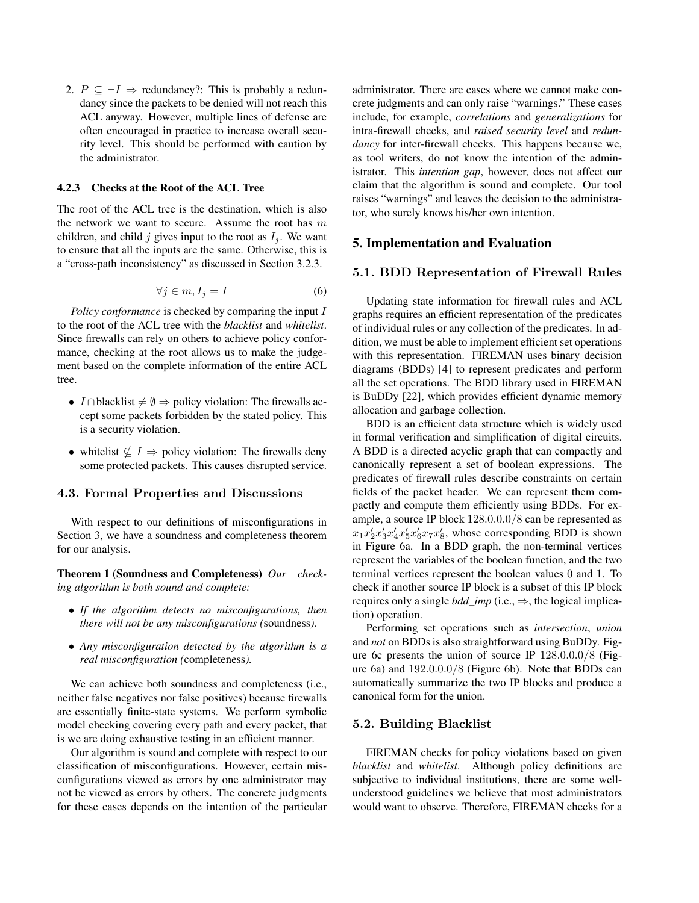2.  $P \subseteq \neg I \Rightarrow$  redundancy?: This is probably a redundancy since the packets to be denied will not reach this ACL anyway. However, multiple lines of defense are often encouraged in practice to increase overall security level. This should be performed with caution by the administrator.

# 4.2.3 Checks at the Root of the ACL Tree

The root of the ACL tree is the destination, which is also the network we want to secure. Assume the root has  $m$ children, and child j gives input to the root as  $I_i$ . We want to ensure that all the inputs are the same. Otherwise, this is a "cross-path inconsistency" as discussed in Section 3.2.3.

$$
\forall j \in m, I_j = I \tag{6}
$$

*Policy conformance* is checked by comparing the input I to the root of the ACL tree with the *blacklist* and *whitelist*. Since firewalls can rely on others to achieve policy conformance, checking at the root allows us to make the judgement based on the complete information of the entire ACL tree.

- I ∩blacklist  $\neq \emptyset$  ⇒ policy violation: The firewalls accept some packets forbidden by the stated policy. This is a security violation.
- whitelist  $\not\subseteq I \Rightarrow$  policy violation: The firewalls deny some protected packets. This causes disrupted service.

### 4.3. Formal Properties and Discussions

With respect to our definitions of misconfigurations in Section 3, we have a soundness and completeness theorem for our analysis.

Theorem 1 (Soundness and Completeness) *Our checking algorithm is both sound and complete:*

- *If the algorithm detects no misconfigurations, then there will not be any misconfigurations (*soundness*).*
- *Any misconfiguration detected by the algorithm is a real misconfiguration (*completeness*).*

We can achieve both soundness and completeness (i.e., neither false negatives nor false positives) because firewalls are essentially finite-state systems. We perform symbolic model checking covering every path and every packet, that is we are doing exhaustive testing in an efficient manner.

Our algorithm is sound and complete with respect to our classification of misconfigurations. However, certain misconfigurations viewed as errors by one administrator may not be viewed as errors by others. The concrete judgments for these cases depends on the intention of the particular administrator. There are cases where we cannot make concrete judgments and can only raise "warnings." These cases include, for example, *correlations* and *generalizations* for intra-firewall checks, and *raised security level* and *redundancy* for inter-firewall checks. This happens because we, as tool writers, do not know the intention of the administrator. This *intention gap*, however, does not affect our claim that the algorithm is sound and complete. Our tool raises "warnings" and leaves the decision to the administrator, who surely knows his/her own intention.

# 5. Implementation and Evaluation

### 5.1. BDD Representation of Firewall Rules

Updating state information for firewall rules and ACL graphs requires an efficient representation of the predicates of individual rules or any collection of the predicates. In addition, we must be able to implement efficient set operations with this representation. FIREMAN uses binary decision diagrams (BDDs) [4] to represent predicates and perform all the set operations. The BDD library used in FIREMAN is BuDDy [22], which provides efficient dynamic memory allocation and garbage collection.

BDD is an efficient data structure which is widely used in formal verification and simplification of digital circuits. A BDD is a directed acyclic graph that can compactly and canonically represent a set of boolean expressions. The predicates of firewall rules describe constraints on certain fields of the packet header. We can represent them compactly and compute them efficiently using BDDs. For example, a source IP block 128.0.0.0/8 can be represented as  $x_1x_2'x_3'x_4'x_5'x_6'x_7x_8'$ , whose corresponding BDD is shown in Figure 6a. In a BDD graph, the non-terminal vertices represent the variables of the boolean function, and the two terminal vertices represent the boolean values 0 and 1. To check if another source IP block is a subset of this IP block requires only a single *bdd\_imp* (i.e.,  $\Rightarrow$ , the logical implication) operation.

Performing set operations such as *intersection*, *union* and *not* on BDDs is also straightforward using BuDDy. Figure 6c presents the union of source IP 128.0.0.0/8 (Figure 6a) and 192.0.0.0/8 (Figure 6b). Note that BDDs can automatically summarize the two IP blocks and produce a canonical form for the union.

### 5.2. Building Blacklist

FIREMAN checks for policy violations based on given *blacklist* and *whitelist*. Although policy definitions are subjective to individual institutions, there are some wellunderstood guidelines we believe that most administrators would want to observe. Therefore, FIREMAN checks for a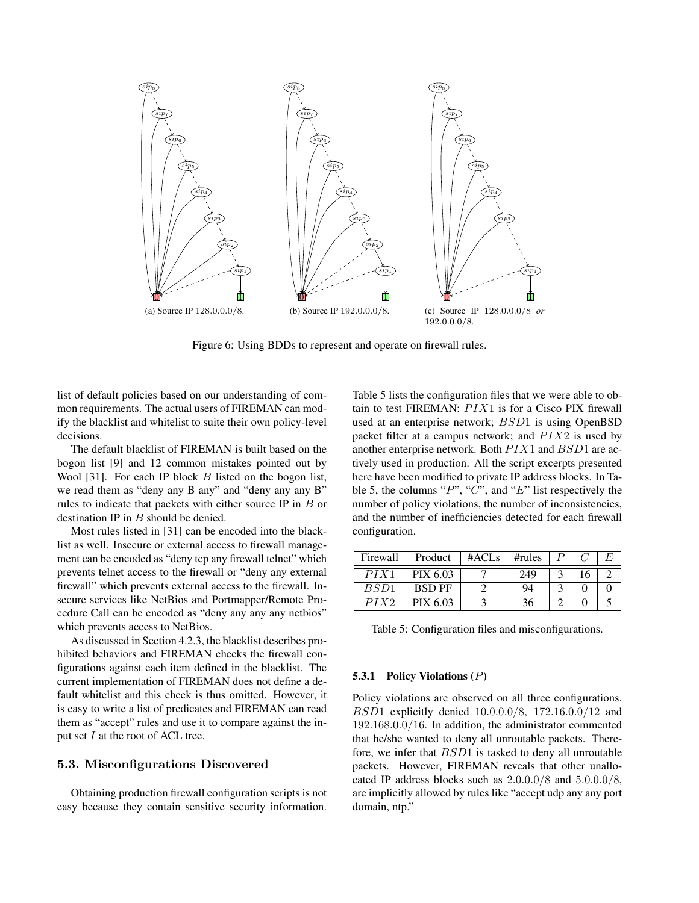

Figure 6: Using BDDs to represent and operate on firewall rules.

list of default policies based on our understanding of common requirements. The actual users of FIREMAN can modify the blacklist and whitelist to suite their own policy-level decisions.

The default blacklist of FIREMAN is built based on the bogon list [9] and 12 common mistakes pointed out by Wool [31]. For each IP block  $B$  listed on the bogon list, we read them as "deny any B any" and "deny any any B" rules to indicate that packets with either source IP in B or destination IP in B should be denied.

Most rules listed in [31] can be encoded into the blacklist as well. Insecure or external access to firewall management can be encoded as "deny tcp any firewall telnet" which prevents telnet access to the firewall or "deny any external firewall" which prevents external access to the firewall. Insecure services like NetBios and Portmapper/Remote Procedure Call can be encoded as "deny any any any netbios" which prevents access to NetBios.

As discussed in Section 4.2.3, the blacklist describes prohibited behaviors and FIREMAN checks the firewall configurations against each item defined in the blacklist. The current implementation of FIREMAN does not define a default whitelist and this check is thus omitted. However, it is easy to write a list of predicates and FIREMAN can read them as "accept" rules and use it to compare against the input set  $I$  at the root of ACL tree.

# 5.3. Misconfigurations Discovered

Obtaining production firewall configuration scripts is not easy because they contain sensitive security information.

Table 5 lists the configuration files that we were able to obtain to test FIREMAN:  $PIX1$  is for a Cisco PIX firewall used at an enterprise network; BSD1 is using OpenBSD packet filter at a campus network; and  $PIX2$  is used by another enterprise network. Both  $PIX1$  and  $BSD1$  are actively used in production. All the script excerpts presented here have been modified to private IP address blocks. In Table 5, the columns " $P$ ", " $C$ ", and " $E$ " list respectively the number of policy violations, the number of inconsistencies, and the number of inefficiencies detected for each firewall configuration.

| Firewall | Product       | #ACLs | $\#rules$ |  |  |
|----------|---------------|-------|-----------|--|--|
| PIX1     | PIX 6.03      |       | 249       |  |  |
| BSD1     | <b>BSD PF</b> |       | 94        |  |  |
| PIX2     | PIX 6.03      |       | 36        |  |  |

Table 5: Configuration files and misconfigurations.

### 5.3.1 Policy Violations  $(P)$

Policy violations are observed on all three configurations. BSD1 explicitly denied 10.0.0.0/8, 172.16.0.0/12 and 192.168.0.0/16. In addition, the administrator commented that he/she wanted to deny all unroutable packets. Therefore, we infer that BSD1 is tasked to deny all unroutable packets. However, FIREMAN reveals that other unallocated IP address blocks such as  $2.0.0.0/8$  and  $5.0.0.0/8$ . are implicitly allowed by rules like "accept udp any any port domain, ntp."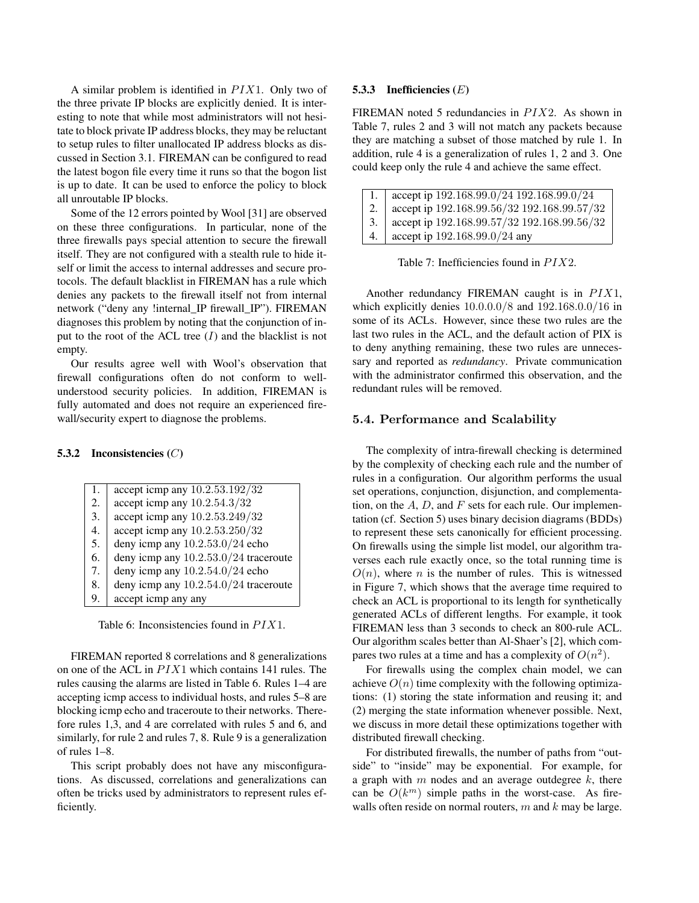A similar problem is identified in  $PIX1$ . Only two of the three private IP blocks are explicitly denied. It is interesting to note that while most administrators will not hesitate to block private IP address blocks, they may be reluctant to setup rules to filter unallocated IP address blocks as discussed in Section 3.1. FIREMAN can be configured to read the latest bogon file every time it runs so that the bogon list is up to date. It can be used to enforce the policy to block all unroutable IP blocks.

Some of the 12 errors pointed by Wool [31] are observed on these three configurations. In particular, none of the three firewalls pays special attention to secure the firewall itself. They are not configured with a stealth rule to hide itself or limit the access to internal addresses and secure protocols. The default blacklist in FIREMAN has a rule which denies any packets to the firewall itself not from internal network ("deny any !internal\_IP firewall\_IP"). FIREMAN diagnoses this problem by noting that the conjunction of input to the root of the ACL tree  $(I)$  and the blacklist is not empty.

Our results agree well with Wool's observation that firewall configurations often do not conform to wellunderstood security policies. In addition, FIREMAN is fully automated and does not require an experienced firewall/security expert to diagnose the problems.

# 5.3.2 Inconsistencies (C)

| 1. | accept icmp any 10.2.53.192/32        |
|----|---------------------------------------|
| 2. | accept icmp any 10.2.54.3/32          |
| 3. | accept icmp any 10.2.53.249/32        |
| 4. | accept icmp any 10.2.53.250/32        |
| 5. | deny icmp any $10.2.53.0/24$ echo     |
| 6. | deny icmp any 10.2.53.0/24 traceroute |
| 7. | deny icmp any $10.2.54.0/24$ echo     |
| 8. | deny icmp any 10.2.54.0/24 traceroute |
| 9. | accept icmp any any                   |
|    |                                       |

Table 6: Inconsistencies found in  $PIX1$ .

FIREMAN reported 8 correlations and 8 generalizations on one of the ACL in  $PIX1$  which contains 141 rules. The rules causing the alarms are listed in Table 6. Rules 1–4 are accepting icmp access to individual hosts, and rules 5–8 are blocking icmp echo and traceroute to their networks. Therefore rules 1,3, and 4 are correlated with rules 5 and 6, and similarly, for rule 2 and rules 7, 8. Rule 9 is a generalization of rules 1–8.

This script probably does not have any misconfigurations. As discussed, correlations and generalizations can often be tricks used by administrators to represent rules efficiently.

### 5.3.3 Inefficiencies (E)

FIREMAN noted 5 redundancies in  $PIX2$ . As shown in Table 7, rules 2 and 3 will not match any packets because they are matching a subset of those matched by rule 1. In addition, rule 4 is a generalization of rules 1, 2 and 3. One could keep only the rule 4 and achieve the same effect.

|     | 1. accept ip $192.168.99.0/24$ 192.168.99.0/24 |
|-----|------------------------------------------------|
| 2.  | accept ip 192.168.99.56/32 192.168.99.57/32    |
| 3.1 | accept ip 192.168.99.57/32 192.168.99.56/32    |
| 4.  | accept ip 192.168.99.0/24 any                  |

Table 7: Inefficiencies found in  $PIX2$ .

Another redundancy FIREMAN caught is in  $PIX1$ , which explicitly denies 10.0.0.0/8 and 192.168.0.0/16 in some of its ACLs. However, since these two rules are the last two rules in the ACL, and the default action of PIX is to deny anything remaining, these two rules are unnecessary and reported as *redundancy*. Private communication with the administrator confirmed this observation, and the redundant rules will be removed.

### 5.4. Performance and Scalability

The complexity of intra-firewall checking is determined by the complexity of checking each rule and the number of rules in a configuration. Our algorithm performs the usual set operations, conjunction, disjunction, and complementation, on the  $A, D$ , and  $F$  sets for each rule. Our implementation (cf. Section 5) uses binary decision diagrams (BDDs) to represent these sets canonically for efficient processing. On firewalls using the simple list model, our algorithm traverses each rule exactly once, so the total running time is  $O(n)$ , where n is the number of rules. This is witnessed in Figure 7, which shows that the average time required to check an ACL is proportional to its length for synthetically generated ACLs of different lengths. For example, it took FIREMAN less than 3 seconds to check an 800-rule ACL. Our algorithm scales better than Al-Shaer's [2], which compares two rules at a time and has a complexity of  $O(n^2)$ .

For firewalls using the complex chain model, we can achieve  $O(n)$  time complexity with the following optimizations: (1) storing the state information and reusing it; and (2) merging the state information whenever possible. Next, we discuss in more detail these optimizations together with distributed firewall checking.

For distributed firewalls, the number of paths from "outside" to "inside" may be exponential. For example, for a graph with  $m$  nodes and an average outdegree  $k$ , there can be  $O(k^m)$  simple paths in the worst-case. As firewalls often reside on normal routers,  $m$  and  $k$  may be large.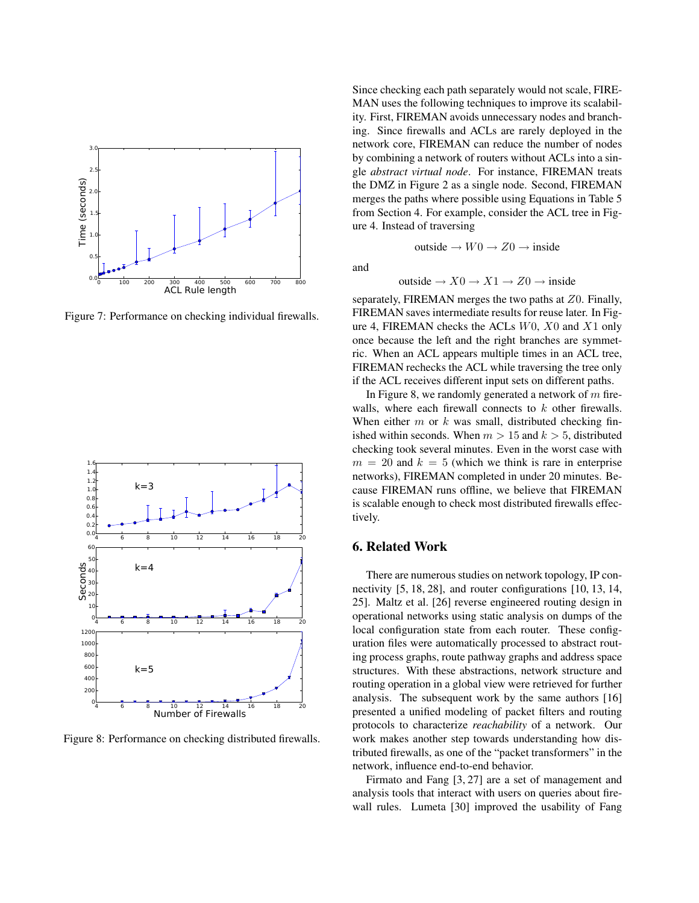

Figure 7: Performance on checking individual firewalls.



Figure 8: Performance on checking distributed firewalls.

Since checking each path separately would not scale, FIRE-MAN uses the following techniques to improve its scalability. First, FIREMAN avoids unnecessary nodes and branching. Since firewalls and ACLs are rarely deployed in the network core, FIREMAN can reduce the number of nodes by combining a network of routers without ACLs into a single *abstract virtual node*. For instance, FIREMAN treats the DMZ in Figure 2 as a single node. Second, FIREMAN merges the paths where possible using Equations in Table 5 from Section 4. For example, consider the ACL tree in Figure 4. Instead of traversing

and

outside 
$$
\rightarrow X0 \rightarrow X1 \rightarrow Z0 \rightarrow
$$
 inside

outside  $\rightarrow$   $W0 \rightarrow Z0 \rightarrow$  inside

separately, FIREMAN merges the two paths at Z0. Finally, FIREMAN saves intermediate results for reuse later. In Figure 4, FIREMAN checks the ACLs  $W0$ ,  $X0$  and  $X1$  only once because the left and the right branches are symmetric. When an ACL appears multiple times in an ACL tree, FIREMAN rechecks the ACL while traversing the tree only if the ACL receives different input sets on different paths.

In Figure 8, we randomly generated a network of  $m$  firewalls, where each firewall connects to  $k$  other firewalls. When either  $m$  or  $k$  was small, distributed checking finished within seconds. When  $m > 15$  and  $k > 5$ , distributed checking took several minutes. Even in the worst case with  $m = 20$  and  $k = 5$  (which we think is rare in enterprise networks), FIREMAN completed in under 20 minutes. Because FIREMAN runs offline, we believe that FIREMAN is scalable enough to check most distributed firewalls effectively.

# 6. Related Work

There are numerous studies on network topology, IP connectivity [5, 18, 28], and router configurations [10, 13, 14, 25]. Maltz et al. [26] reverse engineered routing design in operational networks using static analysis on dumps of the local configuration state from each router. These configuration files were automatically processed to abstract routing process graphs, route pathway graphs and address space structures. With these abstractions, network structure and routing operation in a global view were retrieved for further analysis. The subsequent work by the same authors [16] presented a unified modeling of packet filters and routing protocols to characterize *reachability* of a network. Our work makes another step towards understanding how distributed firewalls, as one of the "packet transformers" in the network, influence end-to-end behavior.

Firmato and Fang [3, 27] are a set of management and analysis tools that interact with users on queries about firewall rules. Lumeta [30] improved the usability of Fang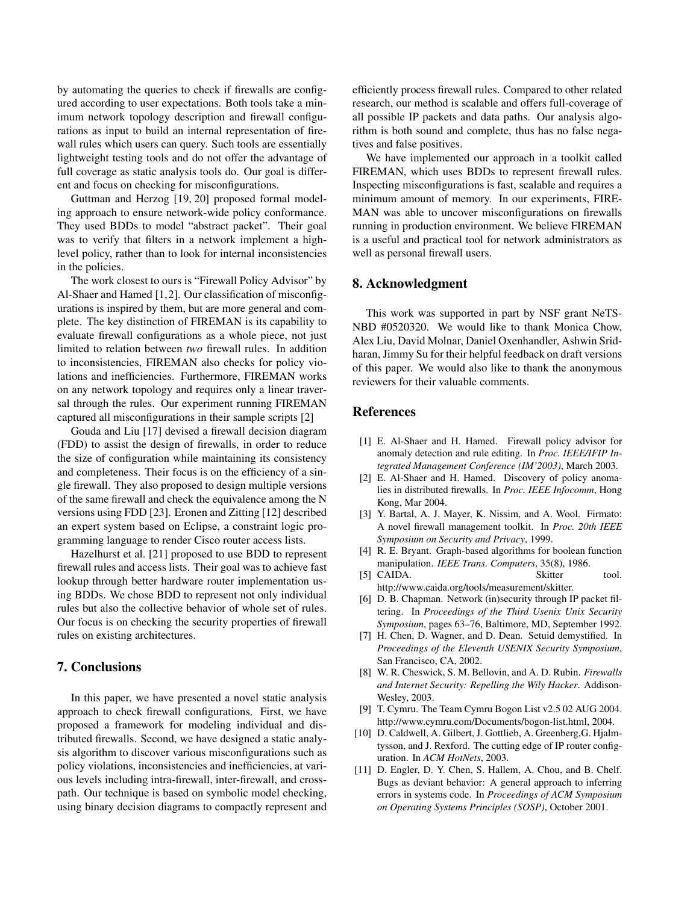by automating the queries to check if firewalls are configured according to user expectations. Both tools take a minimum network topology description and firewall configurations as input to build an internal representation of firewall rules which users can query. Such tools are essentially lightweight testing tools and do not offer the advantage of full coverage as static analysis tools do. Our goal is different and focus on checking for misconfigurations.

Guttman and Herzog [19, 20] proposed formal modeling approach to ensure network-wide policy conformance. They used BDDs to model "abstract packet". Their goal was to verify that filters in a network implement a highlevel policy, rather than to look for internal inconsistencies in the policies.

The work closest to ours is "Firewall Policy Advisor" by Al-Shaer and Hamed [1,2]. Our classification of misconfigurations is inspired by them, but are more general and complete. The key distinction of FIREMAN is its capability to evaluate firewall configurations as a whole piece, not just limited to relation between *two* firewall rules. In addition to inconsistencies, FIREMAN also checks for policy violations and inefficiencies. Furthermore, FIREMAN works on any network topology and requires only a linear traversal through the rules. Our experiment running FIREMAN captured all misconfigurations in their sample scripts [2]

Gouda and Liu [17] devised a firewall decision diagram (FDD) to assist the design of firewalls, in order to reduce the size of configuration while maintaining its consistency and completeness. Their focus is on the efficiency of a single firewall. They also proposed to design multiple versions of the same firewall and check the equivalence among the N versions using FDD [23]. Eronen and Zitting [12] described an expert system based on Eclipse, a constraint logic programming language to render Cisco router access lists.

Hazelhurst et al. [21] proposed to use BDD to represent firewall rules and access lists. Their goal was to achieve fast lookup through better hardware router implementation using BDDs. We chose BDD to represent not only individual rules but also the collective behavior of whole set of rules. Our focus is on checking the security properties of firewall rules on existing architectures.

# 7. Conclusions

In this paper, we have presented a novel static analysis approach to check firewall configurations. First, we have proposed a framework for modeling individual and distributed firewalls. Second, we have designed a static analysis algorithm to discover various misconfigurations such as policy violations, inconsistencies and inefficiencies, at various levels including intra-firewall, inter-firewall, and crosspath. Our technique is based on symbolic model checking, using binary decision diagrams to compactly represent and efficiently process firewall rules. Compared to other related research, our method is scalable and offers full-coverage of all possible IP packets and data paths. Our analysis algorithm is both sound and complete, thus has no false negatives and false positives.

We have implemented our approach in a toolkit called FIREMAN, which uses BDDs to represent firewall rules. Inspecting misconfigurations is fast, scalable and requires a minimum amount of memory. In our experiments, FIRE-MAN was able to uncover misconfigurations on firewalls running in production environment. We believe FIREMAN is a useful and practical tool for network administrators as well as personal firewall users.

### 8. Acknowledgment

This work was supported in part by NSF grant NeTS-NBD #0520320. We would like to thank Monica Chow, Alex Liu, David Molnar, Daniel Oxenhandler, Ashwin Sridharan, Jimmy Su for their helpful feedback on draft versions of this paper. We would also like to thank the anonymous reviewers for their valuable comments.

# References

- [1] E. Al-Shaer and H. Hamed. Firewall policy advisor for anomaly detection and rule editing. In *Proc. IEEE/IFIP Integrated Management Conference (IM'2003)*, March 2003.
- [2] E. Al-Shaer and H. Hamed. Discovery of policy anomalies in distributed firewalls. In *Proc. IEEE Infocomm*, Hong Kong, Mar 2004.
- [3] Y. Bartal, A. J. Mayer, K. Nissim, and A. Wool. Firmato: A novel firewall management toolkit. In *Proc. 20th IEEE Symposium on Security and Privacy*, 1999.
- [4] R. E. Bryant. Graph-based algorithms for boolean function manipulation. *IEEE Trans. Computers*, 35(8), 1986.
- [5] CAIDA. Skitter tool. http://www.caida.org/tools/measurement/skitter.
- [6] D. B. Chapman. Network (in)security through IP packet filtering. In *Proceedings of the Third Usenix Unix Security Symposium*, pages 63–76, Baltimore, MD, September 1992.
- [7] H. Chen, D. Wagner, and D. Dean. Setuid demystified. In *Proceedings of the Eleventh USENIX Security Symposium*, San Francisco, CA, 2002.
- [8] W. R. Cheswick, S. M. Bellovin, and A. D. Rubin. *Firewalls and Internet Security: Repelling the Wily Hacker*. Addison-Wesley, 2003.
- [9] T. Cymru. The Team Cymru Bogon List v2.5 02 AUG 2004. http://www.cymru.com/Documents/bogon-list.html, 2004.
- [10] D. Caldwell, A. Gilbert, J. Gottlieb, A. Greenberg,G. Hjalmtysson, and J. Rexford. The cutting edge of IP router configuration. In *ACM HotNets*, 2003.
- [11] D. Engler, D. Y. Chen, S. Hallem, A. Chou, and B. Chelf. Bugs as deviant behavior: A general approach to inferring errors in systems code. In *Proceedings of ACM Symposium on Operating Systems Principles (SOSP)*, October 2001.